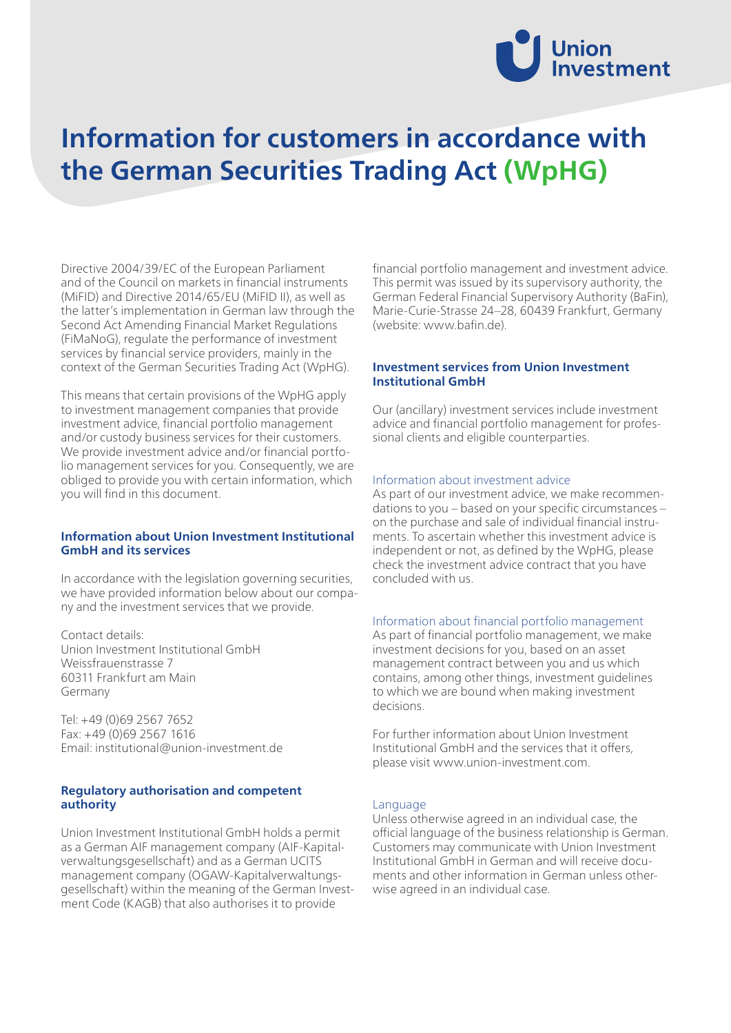

# **Information for customers in accordance with the German Securities Trading Act (WpHG)**

Directive 2004/39/EC of the European Parliament and of the Council on markets in financial instruments (MiFID) and Directive 2014/65/EU (MiFID II), as well as the latter's implementation in German law through the Second Act Amending Financial Market Regulations (FiMaNoG), regulate the performance of investment services by financial service providers, mainly in the context of the German Securities Trading Act (WpHG).

This means that certain provisions of the WpHG apply to investment management companies that provide investment advice, financial portfolio management and/or custody business services for their customers. We provide investment advice and/or financial portfolio management services for you. Consequently, we are obliged to provide you with certain information, which you will find in this document.

# **Information about Union Investment Institutional GmbH and its services**

In accordance with the legislation governing securities, we have provided information below about our company and the investment services that we provide.

Contact details: Union Investment Institutional GmbH Weissfrauenstrasse 7 60311 Frankfurt am Main Germany

Tel: +49 (0)69 2567 7652 Fax: +49 (0)69 2567 1616 Email: institutional@union-investment.de

# **Regulatory authorisation and competent authority**

Union Investment Institutional GmbH holds a permit as a German AIF management company (AIF-Kapitalverwaltungsgesellschaft) and as a German UCITS management company (OGAW-Kapitalverwaltungsgesellschaft) within the meaning of the German Investment Code (KAGB) that also authorises it to provide

financial portfolio management and investment advice. This permit was issued by its supervisory authority, the German Federal Financial Supervisory Authority (BaFin), Marie-Curie-Strasse 24–28, 60439 Frankfurt, Germany (website: www.bafin.de).

# **Investment services from Union Investment Institutional GmbH**

Our (ancillary) investment services include investment advice and financial portfolio management for professional clients and eligible counterparties.

#### Information about investment advice

As part of our investment advice, we make recommendations to you – based on your specific circumstances – on the purchase and sale of individual financial instruments. To ascertain whether this investment advice is independent or not, as defined by the WpHG, please check the investment advice contract that you have concluded with us.

#### Information about financial portfolio management

As part of financial portfolio management, we make investment decisions for you, based on an asset management contract between you and us which contains, among other things, investment guidelines to which we are bound when making investment decisions.

For further information about Union Investment Institutional GmbH and the services that it offers, please visit www.union-investment.com.

#### Language

Unless otherwise agreed in an individual case, the official language of the business relationship is German. Customers may communicate with Union Investment Institutional GmbH in German and will receive documents and other information in German unless otherwise agreed in an individual case.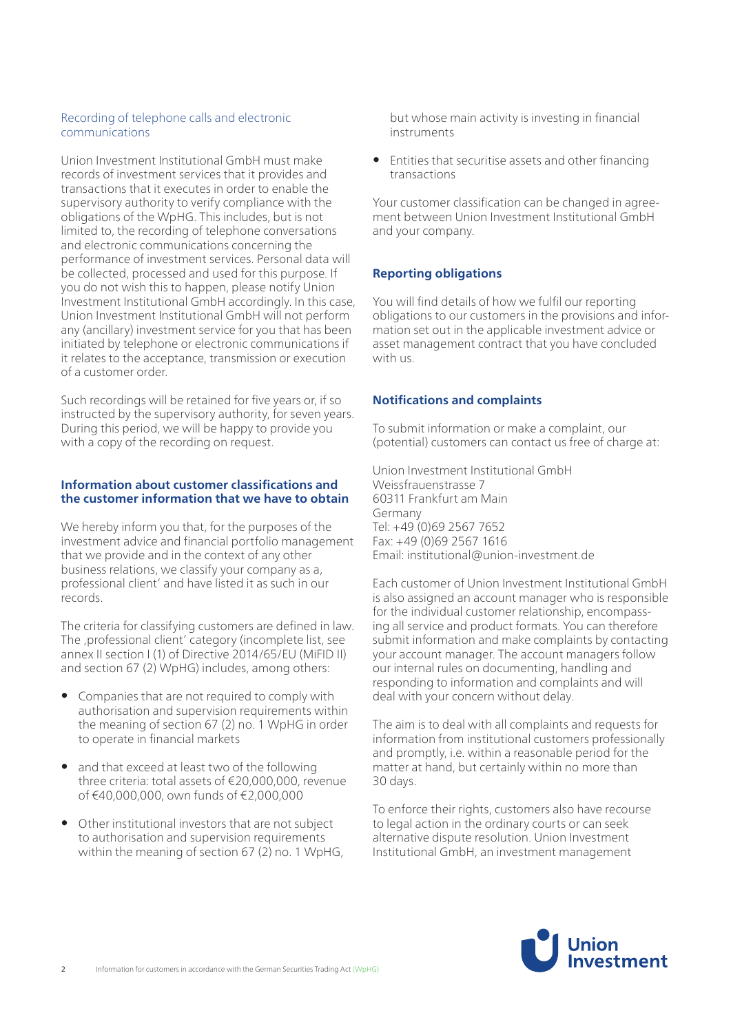#### Recording of telephone calls and electronic communications

Union Investment Institutional GmbH must make records of investment services that it provides and transactions that it executes in order to enable the supervisory authority to verify compliance with the obligations of the WpHG. This includes, but is not limited to, the recording of telephone conversations and electronic communications concerning the performance of investment services. Personal data will be collected, processed and used for this purpose. If you do not wish this to happen, please notify Union Investment Institutional GmbH accordingly. In this case, Union Investment Institutional GmbH will not perform any (ancillary) investment service for you that has been initiated by telephone or electronic communications if it relates to the acceptance, transmission or execution of a customer order.

Such recordings will be retained for five years or, if so instructed by the supervisory authority, for seven years. During this period, we will be happy to provide you with a copy of the recording on request.

# **Information about customer classifications and the customer information that we have to obtain**

We hereby inform you that, for the purposes of the investment advice and financial portfolio management that we provide and in the context of any other business relations, we classify your company as a, professional client' and have listed it as such in our records.

The criteria for classifying customers are defined in law. The , professional client' category (incomplete list, see annex II section I (1) of Directive 2014/65/EU (MiFID II) and section 67 (2) WpHG) includes, among others:

- Companies that are not required to comply with authorisation and supervision requirements within the meaning of section 67 (2) no. 1 WpHG in order to operate in financial markets
- and that exceed at least two of the following three criteria: total assets of €20,000,000, revenue of €40,000,000, own funds of €2,000,000
- Other institutional investors that are not subject to authorisation and supervision requirements within the meaning of section 67 (2) no. 1 WpHG,

but whose main activity is investing in financial instruments

• Entities that securitise assets and other financing transactions

Your customer classification can be changed in agreement between Union Investment Institutional GmbH and your company.

# **Reporting obligations**

You will find details of how we fulfil our reporting obligations to our customers in the provisions and information set out in the applicable investment advice or asset management contract that you have concluded with us.

# **Notifications and complaints**

To submit information or make a complaint, our (potential) customers can contact us free of charge at:

Union Investment Institutional GmbH Weissfrauenstrasse 7 60311 Frankfurt am Main Germany Tel: +49 (0)69 2567 7652 Fax: +49 (0)69 2567 1616 Email: institutional@union-investment.de

Each customer of Union Investment Institutional GmbH is also assigned an account manager who is responsible for the individual customer relationship, encompassing all service and product formats. You can therefore submit information and make complaints by contacting your account manager. The account managers follow our internal rules on documenting, handling and responding to information and complaints and will deal with your concern without delay.

The aim is to deal with all complaints and requests for information from institutional customers professionally and promptly, i.e. within a reasonable period for the matter at hand, but certainly within no more than 30 days.

To enforce their rights, customers also have recourse to legal action in the ordinary courts or can seek alternative dispute resolution. Union Investment Institutional GmbH, an investment management

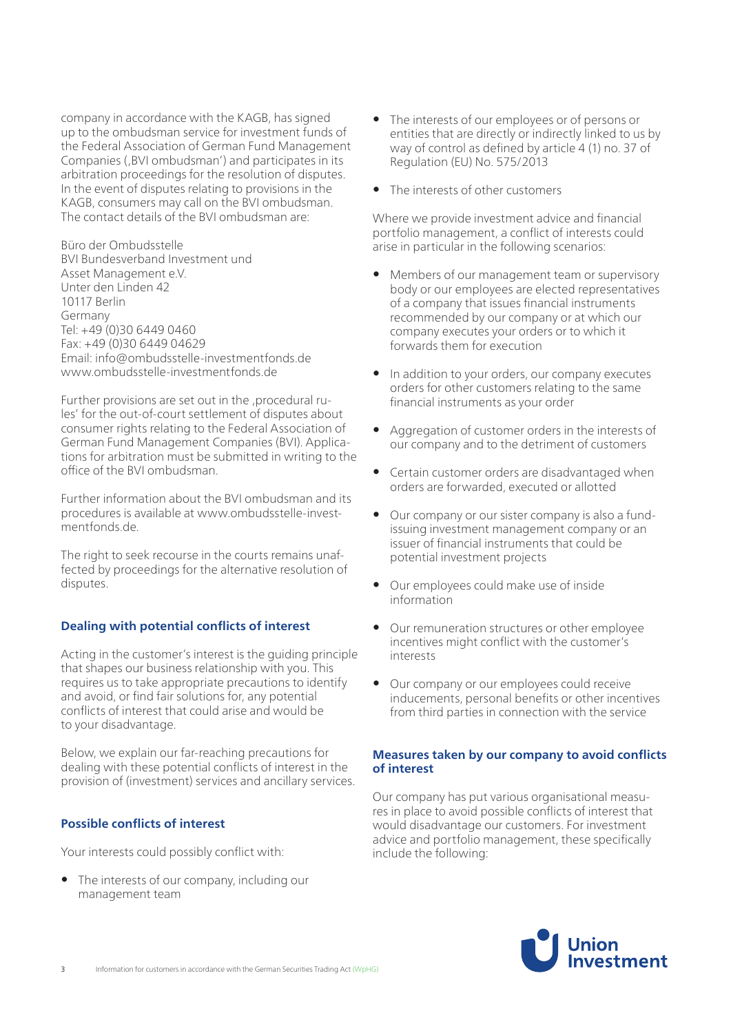company in accordance with the KAGB, has signed up to the ombudsman service for investment funds of the Federal Association of German Fund Management Companies (, BVI ombudsman') and participates in its arbitration proceedings for the resolution of disputes. In the event of disputes relating to provisions in the KAGB, consumers may call on the BVI ombudsman. The contact details of the BVI ombudsman are:

Büro der Ombudsstelle BVI Bundesverband Investment und Asset Management e.V. Unter den Linden 42 10117 Berlin Germany Tel: +49 (0)30 6449 0460 Fax: +49 (0)30 6449 04629 Email: info@ombudsstelle-investmentfonds.de www.ombudsstelle-investmentfonds.de

Further provisions are set out in the , procedural rules' for the out-of-court settlement of disputes about consumer rights relating to the Federal Association of German Fund Management Companies (BVI). Applications for arbitration must be submitted in writing to the office of the BVI ombudsman.

Further information about the BVI ombudsman and its procedures is available at www.ombudsstelle-investmentfonds.de.

The right to seek recourse in the courts remains unaffected by proceedings for the alternative resolution of disputes.

# **Dealing with potential conflicts of interest**

Acting in the customer's interest is the guiding principle that shapes our business relationship with you. This requires us to take appropriate precautions to identify and avoid, or find fair solutions for, any potential conflicts of interest that could arise and would be to your disadvantage.

Below, we explain our far-reaching precautions for dealing with these potential conflicts of interest in the provision of (investment) services and ancillary services.

# **Possible conflicts of interest**

Your interests could possibly conflict with:

• The interests of our company, including our management team

- The interests of our employees or of persons or entities that are directly or indirectly linked to us by way of control as defined by article 4 (1) no. 37 of Regulation (EU) No. 575/2013
- The interests of other customers

Where we provide investment advice and financial portfolio management, a conflict of interests could arise in particular in the following scenarios:

- Members of our management team or supervisory body or our employees are elected representatives of a company that issues financial instruments recommended by our company or at which our company executes your orders or to which it forwards them for execution
- In addition to your orders, our company executes orders for other customers relating to the same financial instruments as your order
- Aggregation of customer orders in the interests of our company and to the detriment of customers
- Certain customer orders are disadvantaged when orders are forwarded, executed or allotted
- Our company or our sister company is also a fundissuing investment management company or an issuer of financial instruments that could be potential investment projects
- Our employees could make use of inside information
- Our remuneration structures or other employee incentives might conflict with the customer's interests
- Our company or our employees could receive inducements, personal benefits or other incentives from third parties in connection with the service

# **Measures taken by our company to avoid conflicts of interest**

Our company has put various organisational measures in place to avoid possible conflicts of interest that would disadvantage our customers. For investment advice and portfolio management, these specifically include the following:

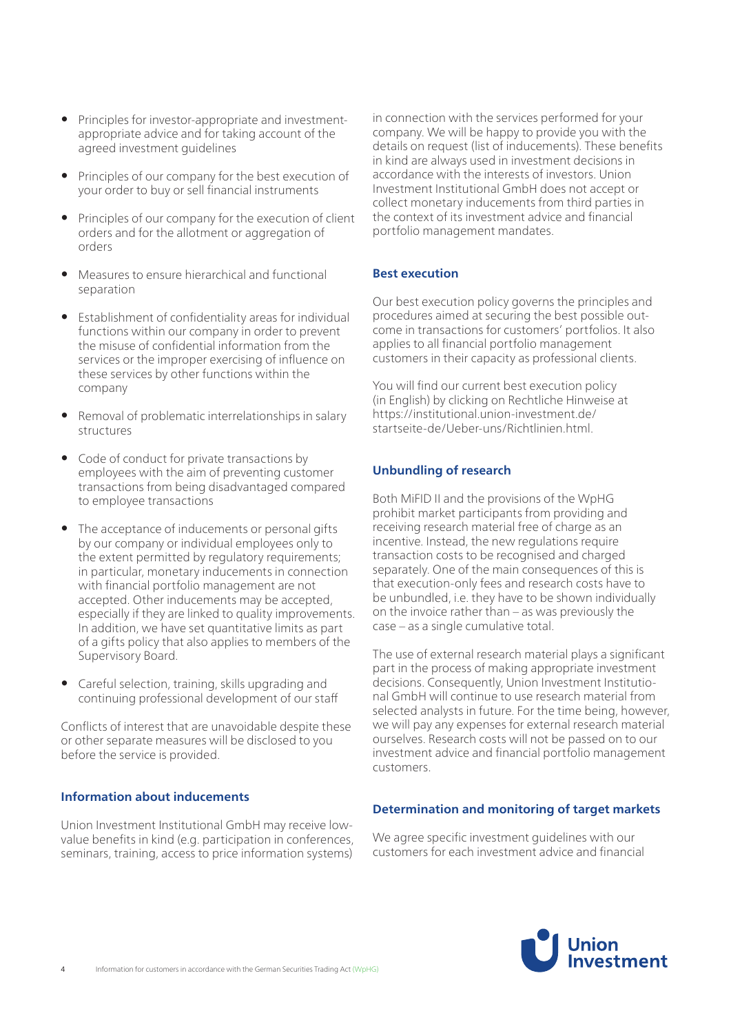- Principles for investor-appropriate and investmentappropriate advice and for taking account of the agreed investment guidelines
- Principles of our company for the best execution of your order to buy or sell financial instruments
- Principles of our company for the execution of client orders and for the allotment or aggregation of orders
- Measures to ensure hierarchical and functional separation
- Establishment of confidentiality areas for individual functions within our company in order to prevent the misuse of confidential information from the services or the improper exercising of influence on these services by other functions within the company
- Removal of problematic interrelationships in salary structures
- Code of conduct for private transactions by employees with the aim of preventing customer transactions from being disadvantaged compared to employee transactions
- The acceptance of inducements or personal gifts by our company or individual employees only to the extent permitted by regulatory requirements; in particular, monetary inducements in connection with financial portfolio management are not accepted. Other inducements may be accepted, especially if they are linked to quality improvements. In addition, we have set quantitative limits as part of a gifts policy that also applies to members of the Supervisory Board.
- Careful selection, training, skills upgrading and continuing professional development of our staff

Conflicts of interest that are unavoidable despite these or other separate measures will be disclosed to you before the service is provided.

# **Information about inducements**

Union Investment Institutional GmbH may receive lowvalue benefits in kind (e.g. participation in conferences, seminars, training, access to price information systems)

in connection with the services performed for your company. We will be happy to provide you with the details on request (list of inducements). These benefits in kind are always used in investment decisions in accordance with the interests of investors. Union Investment Institutional GmbH does not accept or collect monetary inducements from third parties in the context of its investment advice and financial portfolio management mandates.

# **Best execution**

Our best execution policy governs the principles and procedures aimed at securing the best possible outcome in transactions for customers' portfolios. It also applies to all financial portfolio management customers in their capacity as professional clients.

You will find our current best execution policy (in English) by clicking on Rechtliche Hinweise at https://institutional.union-investment.de/ startseite-de/Ueber-uns/Richtlinien.html.

# **Unbundling of research**

Both MiFID II and the provisions of the WpHG prohibit market participants from providing and receiving research material free of charge as an incentive. Instead, the new regulations require transaction costs to be recognised and charged separately. One of the main consequences of this is that execution-only fees and research costs have to be unbundled, i.e. they have to be shown individually on the invoice rather than – as was previously the case – as a single cumulative total.

The use of external research material plays a significant part in the process of making appropriate investment decisions. Consequently, Union Investment Institutional GmbH will continue to use research material from selected analysts in future. For the time being, however, we will pay any expenses for external research material ourselves. Research costs will not be passed on to our investment advice and financial portfolio management customers.

# **Determination and monitoring of target markets**

We agree specific investment quidelines with our customers for each investment advice and financial